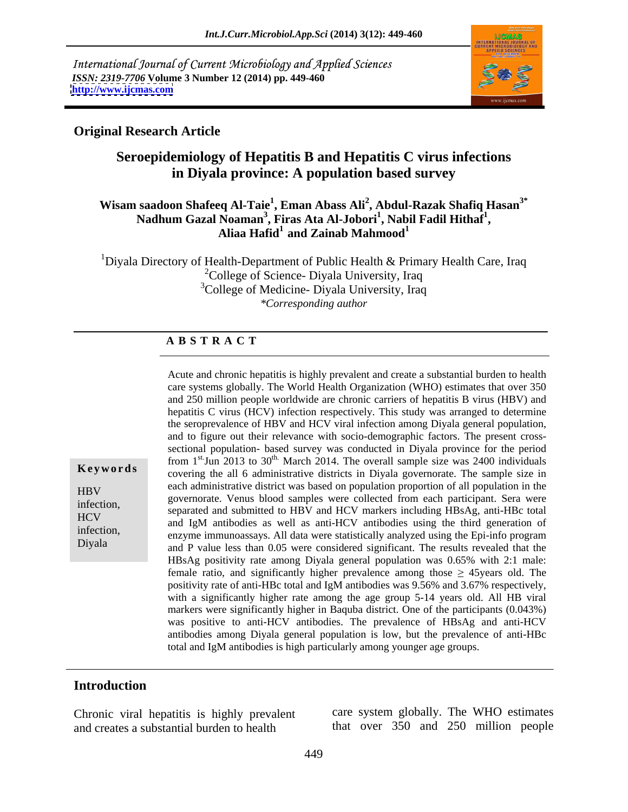International Journal of Current Microbiology and Applied Sciences *ISSN: 2319-7706* **Volume 3 Number 12 (2014) pp. 449-460 <http://www.ijcmas.com>**



### **Original Research Article**

# **Seroepidemiology of Hepatitis B and Hepatitis C virus infections in Diyala province: A population based survey**

### **Wisam saadoon Shafeeq Al-Taie<sup>1</sup> , Eman Abass Ali<sup>2</sup> , Abdul-Razak Shafiq Hasan3\*** Nadhum Gazal Noaman<sup>3</sup>, Firas Ata Al-Jobori<sup>1</sup>, Nabil Fadil Hithaf<sup>1</sup>, **, Nabil Fadil Hithaf1** Noaman<sup>3</sup>, Firas Ata Al-Jobori<sup>1</sup>, Nabil Fadil Hithaf<sup>1</sup>,<br>Aliaa Hafid<sup>1</sup> and Zainab Mahmood<sup>1</sup>

<sup>1</sup>Diyala Directory of Health-Department of Public Health  $\&$  Primary Health Care, Iraq <sup>2</sup>College of Science- Diyala University, Iraq <sup>3</sup>College of Medicine- Diyala University, Iraq *\*Corresponding author* 

### **A B S T R A C T**

**Keywords**covering the all 6 administrative districts in Diyala governorate. The sample size in each administrative district was based on population proportion of all population in the<br>example of the contract of the contract of the contract of the contract of the contract of the contract of the extending the content of the superior of the samples were collected from each participant. Sera were<br>infection, and somewhat and submitted to HDV and HCV measure including HDs as enti-HDs total HCV<br>and IgM antibodies as well as anti-HCV antibodies using the third generation of infection,<br>
enzyme immunoassays. All data were statistically analyzed using the Epi-info program Diyala
and P value less than 0.05 were considered significant. The results revealed that the Acute and chronic hepatitis is highly prevalent and create a substantial burden to health care systems globally. The World Health Organization (WHO) estimates that over 350 and 250 million people worldwide are chronic carriers of hepatitis B virus (HBV) and hepatitis C virus (HCV) infection respectively. This study was arranged to determine the seroprevalence of HBV and HCV viral infection among Diyala general population, and to figure out their relevance with socio-demographic factors. The present crosssectional population- based survey was conducted in Diyala province for the period from  $1^{st}$ Jun 2013 to 30<sup>th.</sup> March 2014. The overall sample size was 2400 individuals separated and submitted to HBV and HCV markers including HBsAg, anti-HBc total HBsAg positivity rate among Diyala general population was 0.65% with 2:1 male: female ratio, and significantly higher prevalence among those  $\geq$  45years old. The positivity rate of anti-HBc total and IgM antibodies was 9.56% and 3.67% respectively, with a significantly higher rate among the age group 5-14 years old. All HB viral markers were significantly higher in Baquba district. One of the participants (0.043%) was positive to anti-HCV antibodies. The prevalence of HBsAg and anti-HCV antibodies among Diyala general population is low, but the prevalence of anti-HBc total and IgM antibodies is high particularly among younger age groups.

### **Introduction**

Chronic viral hepatitis is highly prevalent and creates a substantial burden to health that over 350 and 250 million people

care system globally. The WHO estimates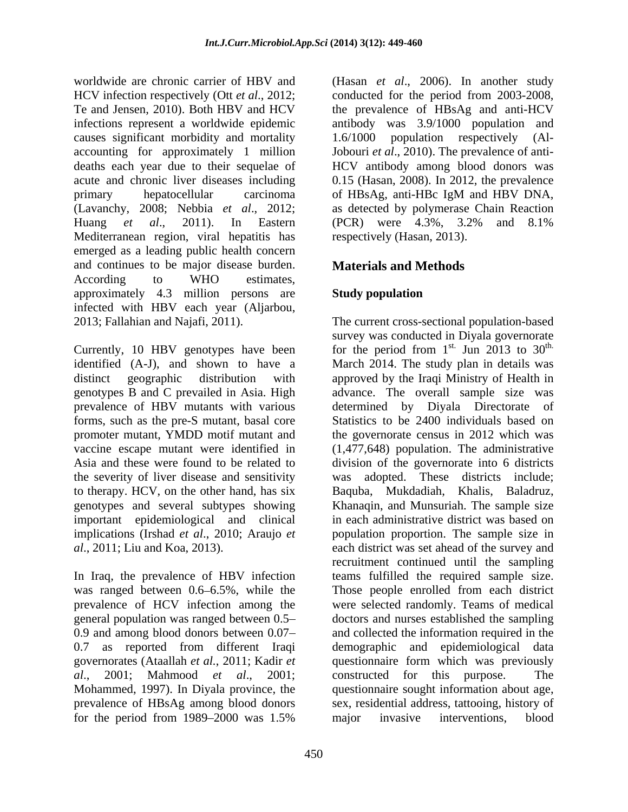worldwide are chronic carrier of HBV and (Hasan *et al*., 2006). In another study HCV infection respectively (Ott *et al*., 2012; conducted for the period from 2003-2008, Te and Jensen, 2010). Both HBV and HCV the prevalence of HBsAg and anti-HCV infections represent a worldwide epidemic antibody was 3.9/1000 population and causes significant morbidity and mortality 1.6/1000 population respectively (Alaccounting for approximately 1 million Jobouri *et al*., 2010). The prevalence of anti deaths each year due to their sequelae of HCV antibody among blood donors was acute and chronic liver diseases including 0.15 (Hasan, 2008). In 2012, the prevalence primary hepatocellular carcinoma of HBsAg, anti-HBc IgM and HBV DNA, (Lavanchy, 2008; Nebbia *et al*., 2012; as detected by polymerase Chain Reaction Huang *et al*., 2011). In Eastern Mediterranean region, viral hepatitis has emerged as a leading public health concern and continues to be major disease burden. According to WHO estimates, approximately 4.3 million persons are **Study population** infected with HBV each year (Aljarbou,

genotypes B and C prevailed in Asia. High genotypes and several subtypes showing implications (Irshad *et al*., 2010; Araujo *et* 

In Iraq, the prevalence of HBV infection 0.7 as reported from different Iraqi emographic and epidemiological data Mohammed, 1997). In Diyala province, the for the period from 1989–2000 was 1.5% major invasive interventions, blood

1.6/1000 population respectively (Al of HBsAg, anti-HBc IgM and HBV DNA, (PCR) were 4.3%, 3.2% and 8.1% respectively (Hasan, 2013).

# **Materials and Methods**

# **Study population**

2013; Fallahian and Najafi, 2011). The current cross-sectional population-based Currently, 10 HBV genotypes have been for the period from  $1^{st}$ . Jun 2013 to 30<sup>th.</sup> identified (A-J), and shown to have a March 2014. The study plan in details was distinct geographic distribution with approved by the Iraqi Ministry of Health in prevalence of HBV mutants with various determined by Diyala Directorate of forms, such as the pre-S mutant, basal core Statistics to be 2400 individuals based on promoter mutant, YMDD motif mutant and the governorate census in 2012 which was vaccine escape mutant were identified in (1,477,648) population. The administrative Asia and these were found to be related to division of the governorate into 6 districts the severity of liver disease and sensitivity was adopted. These districts include; to therapy. HCV, on the other hand, has six Baquba, Mukdadiah, Khalis, Baladruz, important epidemiological and clinical in each administrative district was based on *al*., 2011; Liu and Koa, 2013). each district was set ahead of the survey and was ranged between 0.6–6.5%, while the Those people enrolled from each district prevalence of HCV infection among the were selected randomly. Teams of medical general population was ranged between 0.5 doctors and nurses established the sampling 0.9 and among blood donors between 0.07 and collected the information required in the governorates (Ataallah *et al.*, 2011; Kadir *et*  questionnaire form which was previously *al*., 2001; Mahmood *et al*., 2001; prevalence of HBsAg among blood donors sex, residential address, tattooing, history of survey was conducted in Diyala governorate st. Jun 2013 to  $30^{\text{th}}$ . th. advance. The overall sample size was Khanaqin, and Munsuriah. The sample size population proportion. The sample size in recruitment continued until the sampling teams fulfilled the required sample size. demographic and epidemiological constructed for this purpose. The questionnaire sought information about age, major invasive interventions, blood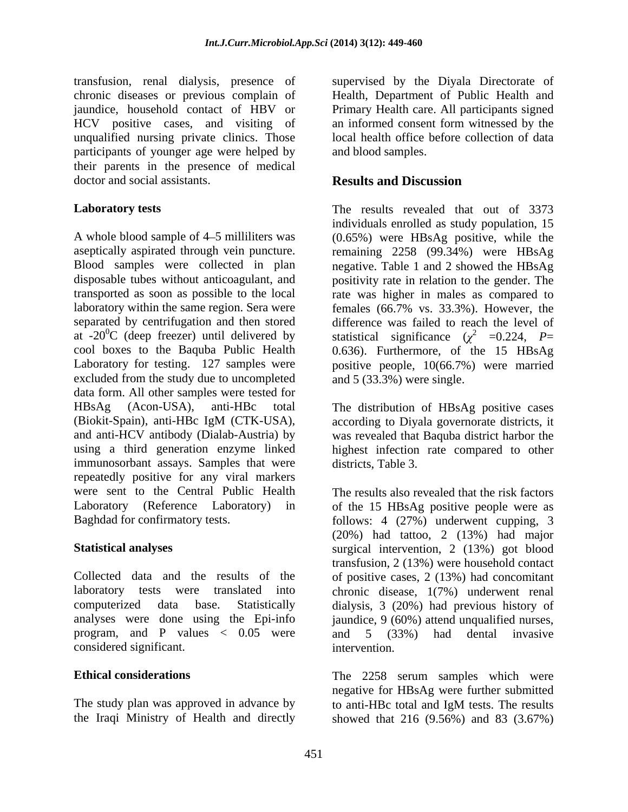transfusion, renal dialysis, presence of chronic diseases or previous complain of jaundice, household contact of HBV or Primary Health care. All participants signed HCV positive cases, and visiting of an informed consent form witnessed by the unqualified nursing private clinics. Those participants of younger age were helped by their parents in the presence of medical doctor and social assistants. **Results and Discussion** 

A whole blood sample of 4–5 milliliters was (0.65%) were HBsAg positive, while the aseptically aspirated through vein puncture. remaining 2258 (99.34%) were HBsAg Blood samples were collected in plan negative. Table 1 and 2 showed the HBsAg disposable tubes without anticoagulant, and positivity rate in relation to the gender. The transported as soon as possible to the local laboratory within the same region. Sera were females (66.7% vs. 33.3%). However, the separated by centrifugation and then stored difference was failed to reach the level of at -20<sup>0</sup>C (deep freezer) until delivered by statistical significance  $(\chi^2 = 0.224, P=$ cool boxes to the Baquba Public Health 0.636). Furthermore, of the 15 HBsAg Laboratory for testing. 127 samples were positive people, 10(66.7%) were married excluded from the study due to uncompleted data form. All other samples were tested for HBsAg (Acon-USA), anti-HBc total The distribution of HBsAg positive cases (Biokit-Spain), anti-HBc IgM (CTK-USA), according to Diyala governorate districts, it and anti-HCV antibody (Dialab-Austria) by was revealed that Baquba district harbor the using a third generation enzyme linked highest infection rate compared to other immunosorbant assays. Samples that were repeatedly positive for any viral markers were sent to the Central Public Health Laboratory (Reference Laboratory) in of the 15 HBsAg positive people were as

program, and P values  $\langle 0.05 \text{ were} \rangle$  and  $\langle 5 \rangle$  (33%) had dental invasive considered significant.

The study plan was approved in advance by to anti-HBc total and IgM tests. The results<br>the Iraqi Ministry of Health and directly showed that 216 (9.56%) and 83 (3.67%)

supervised by the Diyala Directorate of Health, Department of Public Health and local health office before collection of data and blood samples.

## **Results and Discussion**

**Laboratory tests** The results revealed that out of 3373 individuals enrolled as study population, 15 rate was higher in males as compared to and 5 (33.3%) were single.

districts, Table 3.

Baghdad for confirmatory tests. follows: 4 (27%) underwent cupping, 3 **Statistical analyses** surgical intervention, 2 (13%) got blood Collected data and the results of the of positive cases, 2 (13%) had concomitant laboratory tests were translated into chronic disease, 1(7%) underwent renal computerized data base. Statistically dialysis, 3 (20%) had previous history of analyses were done using the Epi-info jaundice, 9 (60%) attend unqualified nurses, The results also revealed that the risk factors (20%) had tattoo, 2 (13%) had major transfusion, 2 (13%) were household contact and 5 (33%) had dental invasive intervention.

**Ethical considerations** The 2258 serum samples which were the Iraqi Ministry of Health and directly showed that 216 (9.56%) and 83 (3.67%)negative for HBsAg were further submitted to anti-HBc total and IgM tests. The results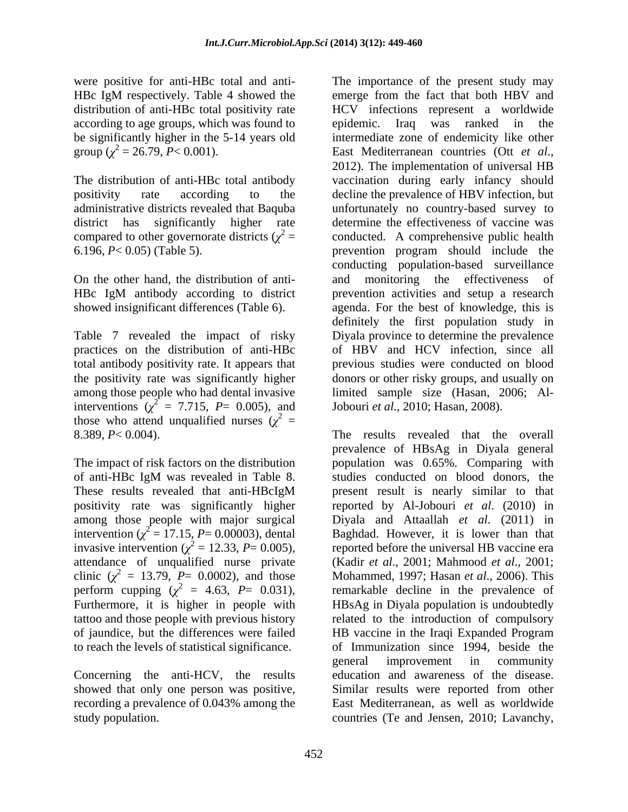according to age groups, which was found to epidemic. Iraq was ranked in the

On the other hand, the distribution of anti showed insignificant differences (Table 6).

interventions  $(\chi^2 = 7.715, P = 0.005)$ , and those who attend unqualified nurses  $(\chi^2 =$ 

intervention ( $\chi^2$  = 17.15, P = 0.00003), dental invasive intervention ( $\chi^2 = 12.33$ , *P*= 0.005), clinic  $(\chi^2 = 13.79, P = 0.0002)$ , and those perform cupping  $(\chi^2 = 4.63, P = 0.031)$ , to reach the levels of statistical significance.

Concerning the anti-HCV, the results study population. countries (Te and Jensen, 2010; Lavanchy,

were positive for anti-HBc total and anti- The importance of the present study may HBc IgM respectively. Table 4 showed the emerge from the fact that both HBV and distribution of anti-HBc total positivity rate HCV infections represent a worldwide be significantly higher in the 5-14 years old intermediate zone of endemicity like other group  $(\chi^2 = 26.79, P < 0.001)$ . East Mediterranean countries (Ott *et al.*, The distribution of anti-HBc total antibody vaccination during early infancy should positivity rate according to the decline the prevalence of HBV infection, but administrative districts revealed that Baquba unfortunately no country-based survey to district has significantly higher rate determine the effectiveness of vaccine was compared to other governorate districts  $(\chi^2 = \text{conducted. A comprehensive public health})$ 6.196, *P*< 0.05) (Table 5). prevention program should include the HBc IgM antibody according to district prevention activities and setup a research Table 7 revealed the impact of risky Diyala province to determine the prevalence practices on the distribution of anti-HBc of HBV and HCV infection, since all total antibody positivity rate. It appears that previousstudies were conducted on blood the positivity rate was significantly higher donors or other risky groups, and usually on among those people who had dental invasive limited sample size (Hasan, 2006; Al epidemic. Iraq was ranked in the East Mediterranean countries (Ott *et al*., 2012). The implementation of universal HB conducting population-based surveillance and monitoring the effectiveness agenda. For the best of knowledge, this is definitely the first population study in Jobouri *et al*., 2010; Hasan, 2008).

8.389, *P*< 0.004). The results revealed that the overall The impact of risk factors on the distribution population was 0.65%. Comparing with of anti-HBc IgM was revealed in Table 8. Studies conducted on blood donors, the These results revealed that anti-HBcIgM present result is nearly similar to that positivity rate was significantly higher reported by Al-Jobouri *et al*. (2010) in among those people with major surgical Diyala and Attaallah *et al*. (2011) in  $= 17.15$ ,  $P = 0.00003$ ), dental Baghdad. However, it is lower than that attendance of unqualified nurse private (Kadir *et al*., 2001; Mahmood *et al*., 2001; Furthermore, it is higher in people with HBsAg in Diyala population is undoubtedly tattoo and those people with previous history related to the introduction of compulsory of jaundice, but the differences were failed HB vaccine in the Iraqi Expanded Program showed that only one person was positive, Similar results were reported from other recording a prevalence of 0.043% among the East Mediterranean, as well as worldwide prevalence of HBsAg in Diyala general studies conducted on blood donors, the present result is nearly similar to that reported before the universal HB vaccine era Mohammed, 1997; Hasan *et al*., 2006). This remarkable decline in the prevalence of of Immunization since 1994, beside the general improvement in community education and awareness of the disease. Similar results were reported from other East Mediterranean, as well as worldwide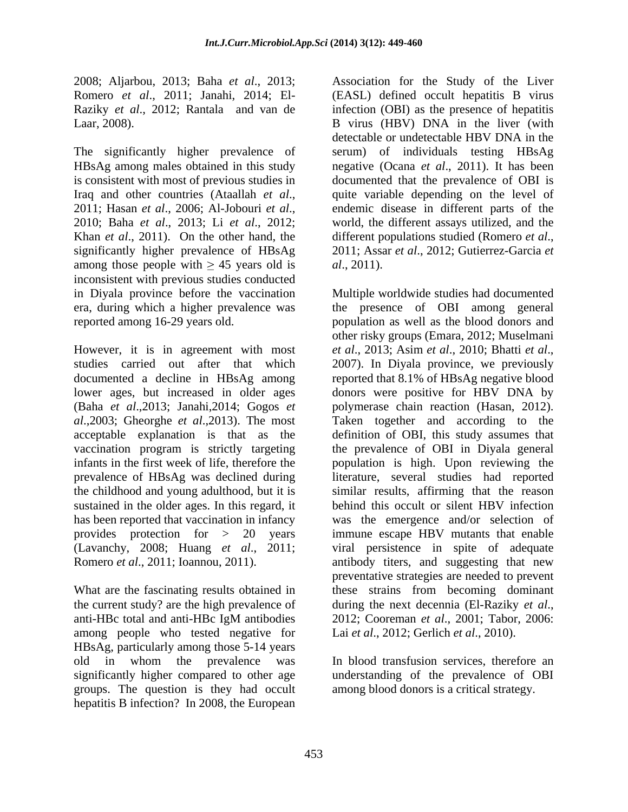2008; Aljarbou, 2013; Baha *et al*., 2013;

Khan *et al.*, 2011). On the other hand, the different populations studied (Romero *et al.*, significantly higher prevalence of HBsAg 2011; Assar et al., 2012; Gutierrez-Garcia et among those people with  $\geq 45$  years old is *al.*, 2011). inconsistent with previous studies conducted

However, it is in agreement with most *et al.*, 2013; Asim *et al.*, 2010; Bhatti *et al.*, studies carried out after that which 2007). In Diyala province, we previously prevalence of HBsAg was declined during sustained in the older ages. In this regard, it

the current study? are the high prevalence of during the next decennia (El-Raziky *et al.*, among people who tested negative for HBsAg, particularly among those 5-14 years<br>old in whom the prevalence was old in whom the prevalence was In blood transfusion services, therefore an significantly higher compared to other age understanding of the prevalence of OBI groups. The question is they had occult hepatitis B infection? In 2008, the European

Romero *et al*., 2011; Janahi, 2014; El- (EASL) defined occult hepatitis B virus Raziky *et al*., 2012; Rantala and van de infection (OBI) as the presence of hepatitis Laar, 2008). B virus (HBV) DNA in the liver (with The significantly higher prevalence of serum) of individuals testing HBsAg HBsAg among males obtained in this study negative (Ocana *et al*., 2011). It has been is consistent with most of previous studies in documented that the prevalence of OBI is Iraq and other countries (Ataallah *et al*., 2011; Hasan *et al*., 2006; Al-Jobouri *et al*., 2010; Baha *et al*., 2013; Li *et al*., 2012; Association for the Study of the Liver detectable or undetectable HBV DNA in the quite variable depending on the level of endemic disease in different parts of the world, the different assays utilized, and the different populations studied (Romero *et al*., 2011; Assar *et al*., 2012; Gutierrez-Garcia *et al*., 2011).

in Diyala province before the vaccination Multiple worldwide studies had documented era, during which a higher prevalence was the presence of OBI among general reported among 16-29 years old. population as well as the blood donors and documented a decline in HBsAg among reported that 8.1% of HBsAg negative blood lower ages, but increased in older ages donors were positive for HBV DNA by (Baha *et al*.,2013; Janahi,2014; Gogos *et*  polymerase chain reaction (Hasan, 2012). *al*.,2003; Gheorghe *et al*.,2013). The most Taken together and according to the acceptable explanation is that as the definition of OBI, this study assumes that vaccination program is strictly targeting the prevalence of OBI in Diyala general infants in the first week of life, therefore the population is high. Upon reviewing the the childhood and young adulthood, but it is similar results, affirming that the reason has been reported that vaccination in infancy was the emergence and/or selection of provides protection for > 20 years immune escape HBV mutants that enable (Lavanchy, 2008; Huang *et al*., 2011; viral persistence in spite of adequate Romero *et al*., 2011; Ioannou, 2011). antibody titers, and suggesting that new What are the fascinating results obtained in these strains from becoming dominant anti-HBc total and anti-HBc IgM antibodies 2012; Cooreman et al., 2001; Tabor, 2006: other risky groups (Emara, 2012; Muselmani *et al*., 2013; Asim *et al*., 2010; Bhatti *et al*., 2007). In Diyala province, we previously literature, several studies had reported behind this occult or silent HBV infection preventative strategies are needed to prevent during the next decennia (El-Raziky *et al*., 2012; Cooreman *et al*., 2001; Tabor, 2006: Lai *et al*., 2012; Gerlich *et al*., 2010).

among blood donors is a critical strategy.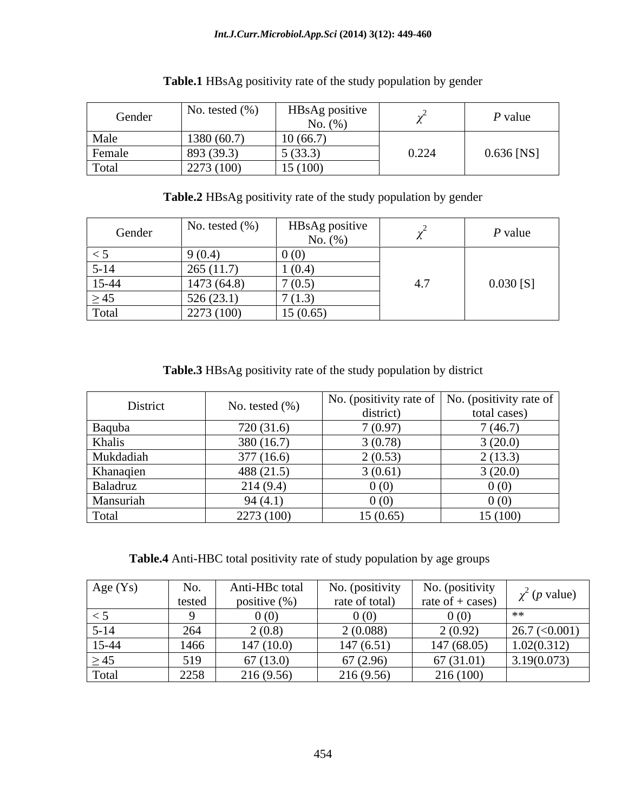| Gender | No. tested $(\% )$ | HBsAg positive<br>No. $(%)$ |       | P value      |
|--------|--------------------|-----------------------------|-------|--------------|
| Male   | 1380(60.7)         | 10(66.7)                    |       |              |
| Female | 893 (39.3)         | 5(33.3)                     | 0.224 | $0.636$ [NS] |
| Total  | 2273(100)          | 15(100)                     |       |              |

| <b>Table.2</b><br>HBsAg positivity.<br>rate of the study<br>/ population by gender<br>. C<br>. . |  |
|--------------------------------------------------------------------------------------------------|--|
|--------------------------------------------------------------------------------------------------|--|

| Gender    | No. tested $(\%)$ | HBsAg positive<br>No. $(\%)$ |                        | $P$ value   |
|-----------|-------------------|------------------------------|------------------------|-------------|
| $\leq$ 5  | 9(0.4)            | 0(0)                         |                        |             |
| $5-14$    | 265(11.7)         | 1(0.4)                       |                        |             |
| 15-44     | 1473(64.8)        | 7(0.5)                       | $\overline{ }$<br>г. / | $0.030$ [S] |
| $\geq 45$ | 526(23.1)         | 7/1<br>(1.3)                 |                        |             |
| Total     | 2273(100)         | 15(0.65)                     |                        |             |

**Table.3** HBsAg positivity rate of the study population by district

| District  | No. tested $(\% )$ | district) | No. (positivity rate of $\vert$ No. (positivity rate of $\vert$<br>total cases) |
|-----------|--------------------|-----------|---------------------------------------------------------------------------------|
| Baquba    | 720(31.6)          | 7(0.97)   | 7(46.7)                                                                         |
| Khalis    | 380(16.7)          | 3(0.78)   | 3(20.0)                                                                         |
| Mukdadiah | 377(16.6)          | 2(0.53)   | 2(13.3)                                                                         |
| Khanaqien | 488(21.5)          | 3(0.61)   | 3(20.0)                                                                         |
| Baladruz  | 214(9.4)           | 0(0)      | 0(0)                                                                            |
| Mansuriah | 94(4.1)            | 0(0)      | 0(0)                                                                            |
| Total     | 2273 (100)         | 15(0.65)  | 15(100)                                                                         |

**Table.4** Anti-HBC total positivity rate of study population by age groups

| Age (Ys)        | No.    | Anti-HBc total   | <i>(positivity)</i> | No. (positivity    |                                  |
|-----------------|--------|------------------|---------------------|--------------------|----------------------------------|
|                 | tested | positive $(\% )$ | rate of total)      | rate of $+$ cases) | $\chi^2$ (p value)               |
| $\sim$ $\omega$ |        | 0(0)             |                     | 0(0)               |                                  |
| $5 - 14$        | 264    | 2(0.8)           | 2(0.088)            | 2(0.92)            | $26.7 \left( \leq 0.001 \right)$ |
| $15-44$         | 1466   | 147(10.0)        | 147(6.51)           | 47 (68.05)         | 1.02(0.312)                      |
| $\geq 45$       | 519    | 67(13.0)         | 67(2.96)            | 67(31.01)          | 3.19(0.073)                      |
| Tota.           | 2258   | 216(9.56)        | 216(9.56)           | 216 (100)          |                                  |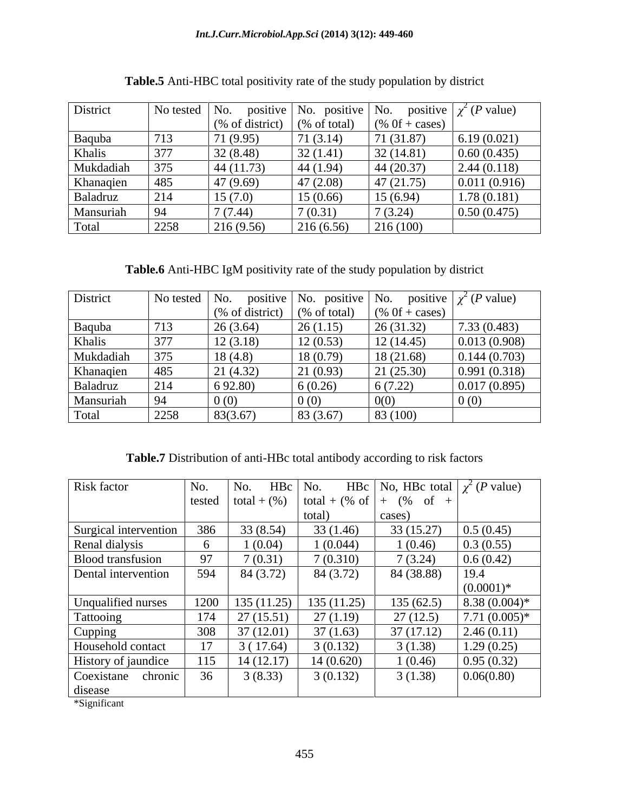| District  | No tested No. |                  | positive   No. positive   No. |                  | positive $\int \chi^2(P \text{ value})$ |
|-----------|---------------|------------------|-------------------------------|------------------|-----------------------------------------|
|           |               | $%$ of district) | $(\% \text{ of total})$       | $(% 0f + cases)$ |                                         |
| Baquba    | 713           | 71 (9.95)        | 71(3.14)                      | 71 (31.87)       | 6.19(0.021)                             |
| Khalis    | 377           | 32(8.48)         | 32(1.41)                      | 32(14.81)        | 0.60(0.435)                             |
| Mukdadiah | 375           | 44(11.73)        | 44 $(1.94)$                   | 44(20.37)        | 2.44(0.118)                             |
| Khanaqien | 485           | 47 (9.69)        | 47(2.08)                      | 47(21.75)        | 0.011(0.916)                            |
| Baladruz  | 214           | 15(7.0)          | 15(0.66)                      | 15(6.94)         | 1.78(0.181)                             |
| Mansuriah | 94            | 7(7.44)          | 7(0.31)                       | 7(3.24)          | 0.50(0.475)                             |
| Total     | 2258          | 216(9.56)        | 216(6.56)                     | 216(100)         |                                         |

**Table.5** Anti-HBC total positivity rate of the study population by district

**Table.6** Anti-HBC IgM positivity rate of the study population by district

| District  | No tested $\vert$ No. |                                   | positive   No. positive   No. |                   | positive $\chi^2$ ( <i>P</i> value) |
|-----------|-----------------------|-----------------------------------|-------------------------------|-------------------|-------------------------------------|
|           |                       | $\sqrt{\frac{6}{6}}$ of district) | % of total)                   | $(\%$ Of + cases) |                                     |
| Baquba    | 713                   | 26(3.64)                          | 26(1.15)                      | 26(31.32)         | 7.33(0.483)                         |
| Khalis    | 377                   | 12(3.18)                          | 12(0.53)                      | 12(14.45)         | 0.013(0.908)                        |
| Mukdadiah | 375                   | 18(4.8)                           | 18(0.79)                      | 18(21.68)         | 0.144(0.703)                        |
| Khanaqien | 485                   | 21 (4.32)                         | 21(0.93)                      | 21(25.30)         | 0.991(0.318)                        |
| Baladruz  | 214                   | 6 92.80)                          | 6(0.26)                       | 6(7.22)           | 0.017(0.895)                        |
| Mansuriah | 94                    | 0(0)                              | 0(0)                          |                   | 0(0)                                |
| Total     | 2258                  | 83(3.67)                          | 83(3.67)                      | 83 (100)          |                                     |

**Table.7** Distribution of anti-HBc total antibody according to risk factors

| Risk factor                         | No. | $\vert$ No. $\vert$ HBc $\vert$ No. |            |                                                  | HBc   No, HBc total $\chi^2(P \text{ value})$ |
|-------------------------------------|-----|-------------------------------------|------------|--------------------------------------------------|-----------------------------------------------|
|                                     |     |                                     |            | tested   total + (%)   total + (% of   + (% of + |                                               |
|                                     |     |                                     | total)     | cases)                                           |                                               |
| Surgical intervention 386 33 (8.54) |     |                                     | 33(1.46)   | 33(15.27)                                        | 0.5(0.45)                                     |
| Renal dialysis                      |     | 1(0.04)                             | 1(0.044)   | 1(0.46)                                          | 0.3(0.55)                                     |
| <b>Blood transfusion</b>            |     | 7(0.31)                             | 7(0.310)   | 7(3.24)                                          | 0.6(0.42)                                     |
| Dental intervention                 | 594 | 84 (3.72)                           | 84 (3.72)  | 84 (38.88)                                       | $\vert$ 19.4                                  |
|                                     |     |                                     |            |                                                  | $(0.0001)$ *                                  |
| Unqualified nurses                  |     | $1200$   135 (11.25)                | 135(11.25) | 135(62.5)                                        | $8.38(0.004)$ *                               |
| Tattooing                           |     | $174$   27 (15.51)                  | 27(1.19)   | 27(12.5)                                         | $7.71(0.005)*$                                |
| Cupping                             |     | 37 (12.01)                          | 37(1.63)   | 37(17.12)                                        | 2.46(0.11)                                    |
| Household contact                   |     | 3(17.64)                            | 3(0.132)   | 3(1.38)                                          | 1.29(0.25)                                    |
| History of jaundice                 |     | 14(12.17)                           | 14(0.620)  | 1(0.46)                                          | 0.95(0.32)                                    |
| Coexistane chronic                  | 36  | 3(8.33)                             | 3(0.132)   | 3(1.38)                                          | 0.06(0.80)                                    |
| disease                             |     |                                     |            |                                                  |                                               |

\*Significant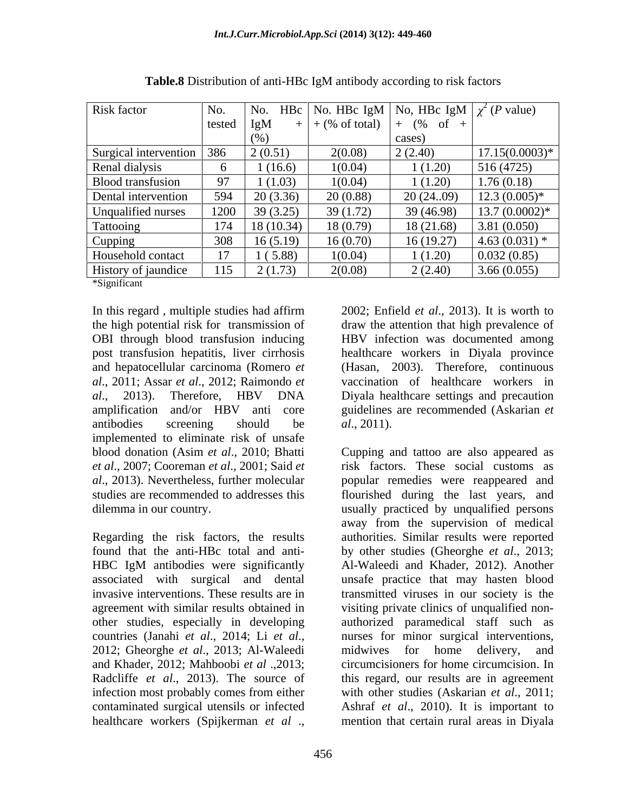| Risk factor              |        |              |                            | No. HBc   No. HBc IgM   No. HBc IgM $\chi^2(P \text{ value})$ |                         |
|--------------------------|--------|--------------|----------------------------|---------------------------------------------------------------|-------------------------|
|                          | tested | <u>Igivi</u> | $+$ (% of total) $\vert$ . | $(\%$ of                                                      |                         |
|                          |        |              |                            |                                                               |                         |
|                          |        |              |                            | cases)                                                        |                         |
| Surgical intervention    |        | 2(0.51)      | 2(0.08)                    | 2(2.40)                                                       | $17.15(0.0003)*$        |
| Renal dialysis           |        | 1(16.6)      | 1(0.04)                    | 1(1.20)                                                       | 516(4725)               |
| <b>Blood transfusion</b> |        | 1(1.03)      | 1(0.04)                    | 1(1.20)                                                       | 1.76(0.18)              |
| Dental intervention      |        | 20(3.36)     | 20(0.88)                   |                                                               | 20 (2409) 12.3 (0.005)* |
| Unqualified nurses       | 1200   | 39(3.25)     | 39(1.72)                   | 39 (46.98)                                                    | $13.7(0.0002)*$         |
| Tattooing                |        | 18(10.34)    | 18(0.79)                   | 18(21.68)                                                     | 3.81(0.050)             |
| Cupping                  |        | 16(5.19)     | 16(0.70)                   | 16(19.27)                                                     | $4.63(0.031)$ *         |
| Household contact        |        | 1(5.88)      | 1(0.04)                    | 1(1.20)                                                       | 0.032(0.85)             |
|                          |        | 2(1.73)      | 2(0.08)                    |                                                               |                         |
| History of jaundice      | 115    |              |                            | 2(2.40)                                                       | 3.66(0.055)             |

| Table.8 Dis<br>Distribution of anti-HBc IgM $\epsilon$<br>antibody according to risk factors |  |
|----------------------------------------------------------------------------------------------|--|
|----------------------------------------------------------------------------------------------|--|

\*Significant

In this regard, multiple studies had affirm 2002; Enfield *et al.*, 2013). It is worth to and hepatocellular carcinoma (Romero *et al*., 2011; Assar *et al*., 2012; Raimondo *et*  implemented to eliminate risk of unsafe

Radcliffe *et al*., 2013). The source of infection most probably comes from either

the high potential risk for transmission of draw the attention that high prevalence of OBI through blood transfusion inducing HBV infection was documented among post transfusion hepatitis, liver cirrhosis healthcare workers in Diyala province *al*., 2013). Therefore, HBV DNA Diyala healthcare settings and precaution amplification and/or HBV anti core guidelines are recommended (Askarian *et*  antibodies screening should be al., 2011). (Hasan, 2003). Therefore, continuous vaccination of healthcare workers in *al*., 2011).

blood donation (Asim *et al*., 2010; Bhatti Cupping and tattoo are also appeared as *et al*., 2007; Cooreman *et al*., 2001; Said *et*  risk factors. These social customs as *al*., 2013). Nevertheless, further molecular popular remedies were reappeared and studies are recommended to addresses this flourished during the last years, and dilemma in our country. usually practiced by unqualified persons Regarding the risk factors, the results authorities. Similar results were reported found that the anti-HBc total and anti- by other studies (Gheorghe *et al*., 2013; HBC IgM antibodies were significantly Al-Waleedi and Khader, 2012). Another associated with surgical and dental unsafe practice that may hasten blood invasive interventions. These results are in transmitted viruses in our society is the agreement with similar results obtained in visiting private clinics of unqualified nonother studies, especially in developing authorized paramedical staff such as countries (Janahi *et al*., 2014; Li *et al*., 2012; Gheorghe *et al*., 2013; Al-Waleedi and Khader, 2012; Mahboobi *et al* .,2013; circumcisioners for home circumcision. In contaminated surgical utensils or infected Ashraf *et al*., 2010). It is important to In this regard , multiple studies had affirm and the real., 2013). It is worth to the light potential risk for transmission of  $d\mathbf{r}$  are the their potential risk for transmission inducing HBV infection was documented a away from the supervision of medical Al-Waleedi and Khader, 2012). Another nurses for minor surgical interventions, midwives for home delivery, and this regard, our results are in agreement with other studies (Askarian *et al*., 2011; mention that certain rural areas in Diyala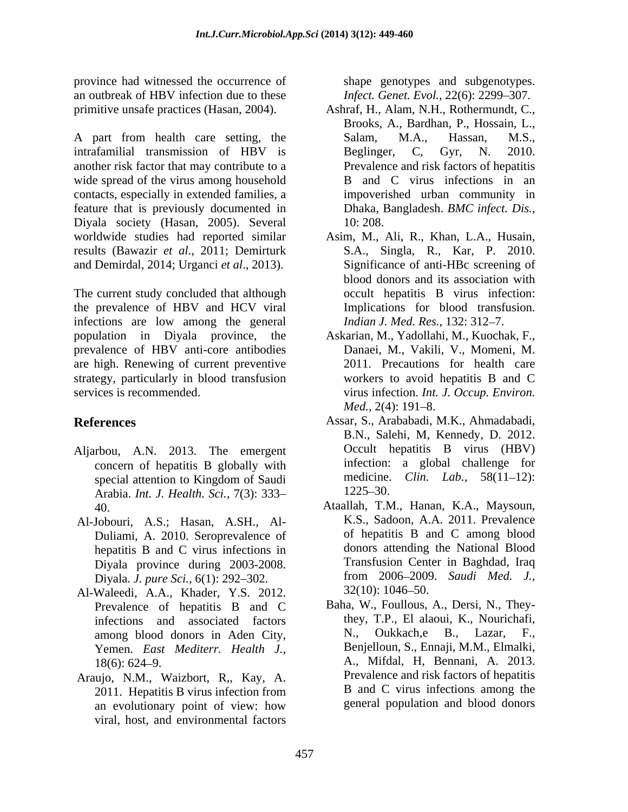province had witnessed the occurrence of shape genotypes and subgenotypes. an outbreak of HBV infection due to these *Infect. Genet. Evol.*, 22(6): 2299–307. primitive unsafe practices (Hasan, 2004).

A part from health care setting, the Salam, M.A., Hassan, M.S., intrafamilial transmission of HBV is Beglinger, C, Gyr, N. 2010. another risk factor that may contribute to a wide spread of the virus among household contacts, especially in extended families, a feature that is previously documented in Diyala society (Hasan, 2005). Several worldwide studies had reported similar Asim, M., Ali, R., Khan,L.A., Husain, results (Bawazir *et al*., 2011; Demirturk and Demirdal, 2014; Urganci *et al*., 2013).

The current study concluded that although the prevalence of HBV and HCV viral infections are low among the general population in Diyala province, the Askarian, M., Yadollahi, M., Kuochak, F., prevalence of HBV anti-core antibodies are high. Renewing of current preventive strategy, particularly in blood transfusion services is recommended. virus infection. *Int. J. Occup. Environ.*

- Aljarbou, A.N. 2013. The emergent concern of hepatitis B globally with Arabia. *Int. J. Health. Sci.,* 7(3): 333
- Al-Jobouri, A.S.; Hasan, A.SH., Al- Duliami, A. 2010. Seroprevalence of hepatitis B and C virus infections in Diyala. *J. pure Sci.*, 6(1): 292–302. from 2006–2009<br>Waleedi A.A. Khader Y.S. 2012 32(10): 1046–50.
- Al-Waleedi, A.A., Khader, Y.S. 2012. Prevalence of hepatitis B and C among blood donors in Aden City, Yemen. *East Mediterr. Health J.,*
- Araujo, N.M., Waizbort, R,, Kay, A. 2011. Hepatitis B virus infection from an evolutionary point of view: how viral, host, and environmental factors

- Ashraf, H., Alam, N.H., Rothermundt, C., Brooks, A., Bardhan, P., Hossain, L., Salam, M.A., Hassan, M.S., Beglinger, C, Gyr, N. 2010. Prevalence and risk factors of hepatitis B and C virus infections in an impoverished urban community in Dhaka, Bangladesh. *BMC infect. Dis.,* 10: 208.
- S.A., Singla, R., Kar, P. 2010. Significance of anti-HBc screening of blood donors and its association with occult hepatitis B virus infection: Implications for blood transfusion. *Indian J. Med. Res., 132: 312-7.*
- Danaei, M., Vakili, V., Momeni, M. 2011. Precautions for health care workers to avoid hepatitis B and C *Med.,* 2(4): 191–8.
- **References** Assar, S., Arababadi, M.K., Ahmadabadi, special attention to Kingdom of Saudi medicine. Clin. Lab., 58(11–12): B.N., Salehi, M, Kennedy, D. 2012. Occult hepatitis B virus (HBV) infection: a global challenge for medicine. *Clin. Lab.*, 58(11–12): 1225–30.
	- 40. Ataallah, T.M., Hanan, K.A., Maysoun, Diyala province during 2003-2008. Transfusion Center in Baghdad, Iraq<br>Diyala *I pure Sci* 6(1): 292–302 from 2006–2009. Saudi Med. J., K.S., Sadoon, A.A. 2011. Prevalence of hepatitis B and C among blood donors attending the National Blood Transfusion Center in Baghdad, Iraq from 2006 2009. *Saudi Med. J.,* $32(10): 1046 - 50.$
	- infections and associated factors they, T.P., El alaoui, K., Nourichafi,<br>among blood donors in Aden City N., Oukkach.e B., Lazar, F., 18(6): 624 9. A., Mifdal, H, Bennani, A. 2013. Baha, W., Foullous, A., Dersi, N., Theythey, T.P., El alaoui, K., Nourichafi, N., Oukkach,e B., Lazar, F., Benjelloun, S., Ennaji, M.M., Elmalki, Prevalence and risk factors of hepatitis B and C virus infections among the general population and blood donors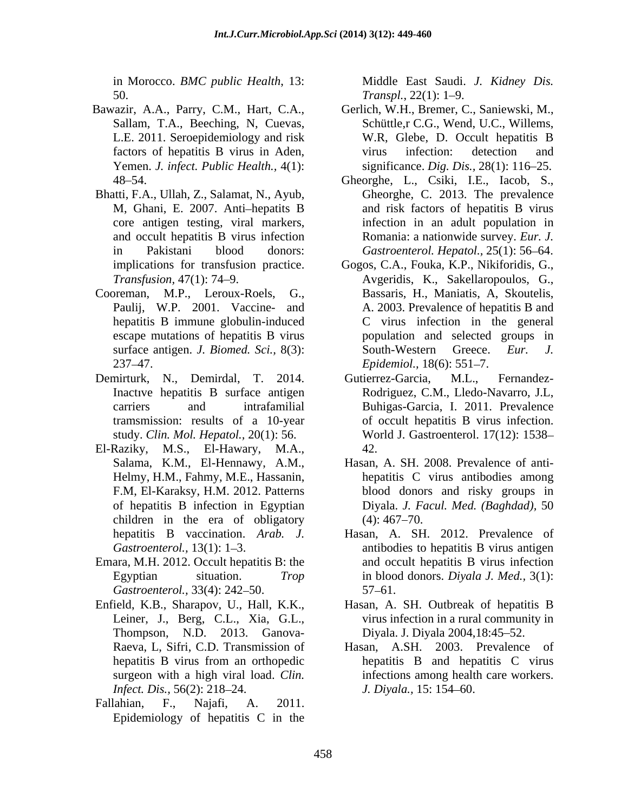50. Transpl., 22(1): 1–9.

- Yemen. *J. infect. Public Health.,* 4(1):
- Bhatti, F.A., Ullah, Z., Salamat, N., Ayub, core antigen testing, viral markers,
- escape mutations of hepatitis B virus 237–47. *Epidemiol.*, 18(6): 551–7.
- Demirturk, N., Demirdal, T. 2014. Gutierrez-Garcia, M.L., Fernandezstudy. *Clin. Mol. Hepatol.,* 20(1): 56.
- El-Raziky, M.S., El-Hawary, M.A., children in the era of obligatory  $(4)$ : 467–70.
- Emara, M.H. 2012. Occult hepatitis B: the Gastroenterol., 33(4): 242–50. 57–61.
- Enfield, K.B., Sharapov, U., Hall, K.K., Thompson, N.D. 2013. Ganova-
- Fallahian, F., Najafi, A. 2011. Epidemiology of hepatitis C in the

in Morocco. *BMC public Health*, 13: Middle East Saudi. *J. Kidney Dis. Transpl.*, 22(1): 1–9.

- Bawazir, A.A., Parry, C.M., Hart, C.A., Gerlich, W.H., Bremer, C., Saniewski, M., Sallam, T.A., Beeching, N, Cuevas, Schüttle,r C.G., Wend, U.C., Willems, L.E. 2011. Seroepidemiology and risk W.R. Glebe, D. Occult hepatitis B factors of hepatitis B virus in Aden, virus infection: detection and W.R, Glebe, D. Occult hepatitis B virus infection: detection and significance. *Dig. Dis.*, 28(1): 116–25.
	- 48 54. Gheorghe, L., Csiki, I.E., Iacob, S., M, Ghani, E. 2007. Anti-hepatits B and risk factors of hepatitis B virus and occult hepatitis B virus infection Romania: a nationwide survey. *Eur. J.* in Pakistani blood donors: *Gastroenterol. Hepatol.,* 25(1): 56 64. Gheorghe, C. 2013. The prevalence infection in an adult population in
- implications for transfusion practice. Gogos, C.A., Fouka, K.P., Nikiforidis, G., *Transfusion,* 47(1): 74 9. Avgeridis, K., Sakellaropoulos, G., Cooreman, M.P., Leroux-Roels, G., Bassaris, H., Maniatis, A, Skoutelis, Paulij, W.P. 2001. Vaccine- and A. 2003. Prevalence of hepatitis B and hepatitis B immune globulin-induced C virus infection in the general surface antigen. *J. Biomed. Sci.*, 8(3): South-Western Greece. *Eur. J.* population and selected groups in South-Western Greece. *Eur. J.*<br>*Epidemiol.*, 18(6): 551–7.
	- Inactive hepatitis B surface antigen Rodriguez, C.M., Lledo-Navarro, J.L, carriers and intrafamilial Buhigas-Garcia, I. 2011. Prevalence tramsmission: results of a 10-year of occult hepatitis B virus infection. Gutierrez-Garcia, M.L., Fernandez- World J. Gastroenterol. 17(12): 1538 42.
	- Salama, K.M., El-Hennawy, A.M., Hasan, A. SH. 2008. Prevalence of anti-Helmy, H.M., Fahmy, M.E., Hassanin, hepatitis C virus antibodies among F.M, El-Karaksy, H.M. 2012. Patterns blood donors and risky groups in of hepatitis B infection in Egyptian Diyala. *J. Facul. Med. (Baghdad),* 50  $(4)$ : 467–70.
	- hepatitis B vaccination. *Arab. J.* Hasan, A. SH. 2012. Prevalence of Gastroenterol., 13(1): 1–3. The antibodies to hepatitis B virus antigen Egyptian situation. *Trop*  in blood donors. *Diyala J. Med.,* 3(1): and occult hepatitis B virus infection  $57 - 61.$
	- Leiner, J., Berg, C.L., Xia, G.L., virus infection in a rural community in Hasan, A. SH. Outbreak of hepatitis B Diyala. J. Diyala 2004, 18:45–52.
	- Raeva, L, Sifri, C.D. Transmission of Hasan, A.SH. 2003. Prevalence of hepatitis B virus from an orthopedic bepatitis B and hepatitis C virus surgeon with a high viral load. *Clin*. 
	infections among health care workers. *Infect. Dis.,* 56(2): 218–24. *J. Diyala.,* 15: 154–60. hepatitis B and hepatitis C virus *J. Diyala.,* 15: 154–60.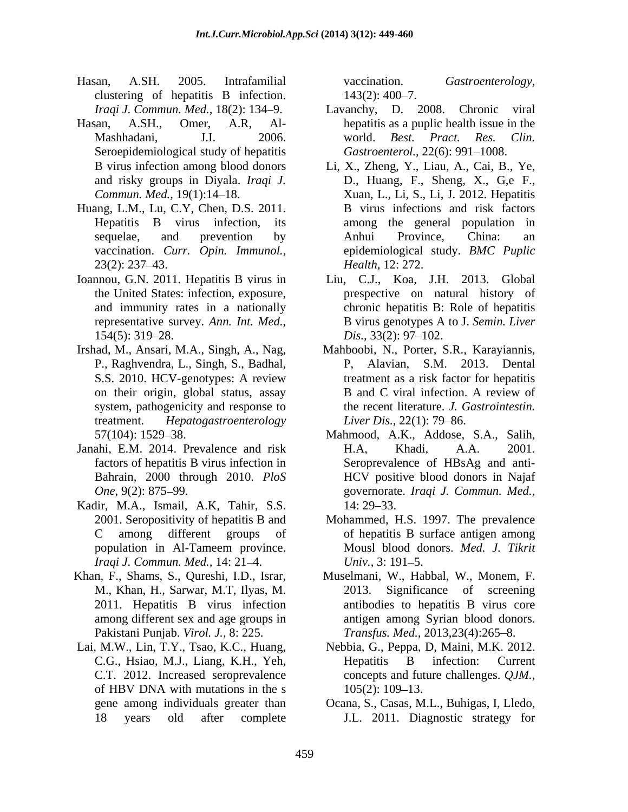- Hasan, A.SH. 2005. Intrafamilial vaccination. *Gastroenterology,* clustering of hepatitis B infection. 143(2): 400–7.
- Seroepidemiological study of hepatitis
- Huang, L.M., Lu, C.Y, Chen, D.S. 2011. vaccination. *Curr. Opin. Immunol.,*
- Ioannou, G.N. 2011. Hepatitis B virus in
- P., Raghvendra, L., Singh, S., Badhal, S.S. 2010. HCV-genotypes: A review
- Janahi, E.M. 2014. Prevalence and risk Bahrain, 2000 through 2010. *PloS*
- Kadir, M.A., Ismail, A.K, Tahir, S.S. *Iraqi J. Commun. Med.,* 14: 21–4. *Univ.*, 3: 191–5.
- Khan, F., Shams, S., Qureshi, I.D., Israr, Muselmani, W., Habbal, W., Monem, F.
- Lai, M.W., Lin, T.Y., Tsao, K.C., Huang, Nebbia, G., Peppa, D, Maini, M.K. 2012. C.T. 2012. Increased seroprevalence

 $143(2): 400 - 7.$ 

- *Iraqi J. Commun. Med.,* 18(2): 134 9. Lavanchy, D. 2008. Chronic viral Hasan, A.SH., Omer, A.R, Al- hepatitis as a puplic health issue in the Mashhadani, J.I. 2006. world. Best. Pract. Res. Clin. world. *Best. Pract. Res. Clin. Gastroenterol.,* 22(6): 991-1008.
	- B virus infection among blood donors Li, X., Zheng, Y., Liau, A., Cai, B., Ye, and risky groups in Diyala. *Iraqi J.* D., Huang, F., Sheng, X., G,e F., *Commun. Med.*, 19(1):14 18. Xuan, L., Li, S., Li, J. 2012. Hepatitis Hepatitis B virus infection, its among the general population in sequelae, and prevention by Anhui Province, China: an 23(2): 237–43. Health, 12: 272. B virus infections and risk factors Anhui Province, China: an epidemiological study. *BMC Puplic Health,* 12: 272.
	- the United States: infection, exposure, prespective on natural history of and immunity rates in a nationally chronic hepatitis B: Role of hepatitis representative survey. *Ann. Int. Med.,* B virus genotypes A to J. *Semin. Liver*  $154(5)$ : 319–28.  $Dis., 33(2)$ : 97–102. Liu, C.J., Koa, J.H. 2013. Global *Dis.*, 33(2): 97–102.
- Irshad, M., Ansari, M.A., Singh, A., Nag, Mahboobi, N., Porter, S.R., Karayiannis, on their origin, global status, assay B and C viral infection. A review of system, pathogenicity and response to the recent literature. *J. Gastrointestin.* treatment. *Hepatogastroenterology* P, Alavian, S.M. 2013. Dental treatment as a risk factor for hepatitis B and C viral infection. A review of *Liver Dis.,* 22(1): 79–86.
	- 57(104): 1529 38. Mahmood, A.K., Addose, S.A., Salih, factors of hepatitis B virus infection in Seroprevalence of HBsAg and anti- *One,* 9(2): 875 99. governorate. *Iraqi J. Commun. Med.,* H.A, Khadi, A.A. 2001. HCV positive blood donors in Najaf 14: 29–33.
	- 2001. Seropositivity of hepatitis B and Mohammed, H.S. 1997. The prevalence C among different groups of of hepatitis B surface antigen among population in Al-Tameem province. Mousl blood donors. *Med. J. Tikrit* Mousl blood donors. *Med. J. Tikrit Univ.*, 3: 191–5.
	- M., Khan, H., Sarwar, M.T, Ilyas, M. 2013. Significance of screening<br>2011. Hepatitis B virus infection antibodies to hepatitis B virus core among different sex and age groups in antigen among Syrian blood donors. Pakistani Punjab. *Virol. J., 8: 225. Transfus. Med., 2013,23(4):265–8.* Muselmani, W., Habbal, W., Monem, F. 2013. Significance of screening antibodies to hepatitis B virus core
	- C.G., Hsiao, M.J., Liang, K.H., Yeh, of HBV DNA with mutations in the s  $105(2)$ : 109–13. Hepatitis B infection: Current concepts and future challenges. *QJM.,* 105(2): 109 13.
	- gene among individuals greater than Ocana, S., Casas, M.L., Buhigas, I, Lledo, 18 years old after complete J.L. 2011. Diagnostic strategy for